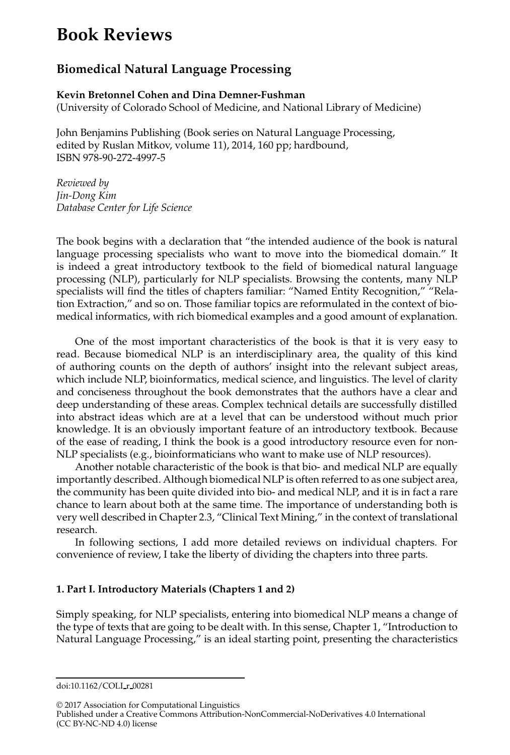# **Book Reviews**

## **Biomedical Natural Language Processing**

### **Kevin Bretonnel Cohen and Dina Demner-Fushman** (University of Colorado School of Medicine, and National Library of Medicine)

John Benjamins Publishing (Book series on Natural Language Processing, edited by Ruslan Mitkov, volume 11), 2014, 160 pp; hardbound, ISBN 978-90-272-4997-5

*Reviewed by Jin-Dong Kim Database Center for Life Science*

The book begins with a declaration that "the intended audience of the book is natural language processing specialists who want to move into the biomedical domain." It is indeed a great introductory textbook to the field of biomedical natural language processing (NLP), particularly for NLP specialists. Browsing the contents, many NLP specialists will find the titles of chapters familiar: "Named Entity Recognition," "Relation Extraction," and so on. Those familiar topics are reformulated in the context of biomedical informatics, with rich biomedical examples and a good amount of explanation.

One of the most important characteristics of the book is that it is very easy to read. Because biomedical NLP is an interdisciplinary area, the quality of this kind of authoring counts on the depth of authors' insight into the relevant subject areas, which include NLP, bioinformatics, medical science, and linguistics. The level of clarity and conciseness throughout the book demonstrates that the authors have a clear and deep understanding of these areas. Complex technical details are successfully distilled into abstract ideas which are at a level that can be understood without much prior knowledge. It is an obviously important feature of an introductory textbook. Because of the ease of reading, I think the book is a good introductory resource even for non-NLP specialists (e.g., bioinformaticians who want to make use of NLP resources).

Another notable characteristic of the book is that bio- and medical NLP are equally importantly described. Although biomedical NLP is often referred to as one subject area, the community has been quite divided into bio- and medical NLP, and it is in fact a rare chance to learn about both at the same time. The importance of understanding both is very well described in Chapter 2.3, "Clinical Text Mining," in the context of translational research.

In following sections, I add more detailed reviews on individual chapters. For convenience of review, I take the liberty of dividing the chapters into three parts.

## **1. Part I. Introductory Materials (Chapters 1 and 2)**

Simply speaking, for NLP specialists, entering into biomedical NLP means a change of the type of texts that are going to be dealt with. In this sense, Chapter 1, "Introduction to Natural Language Processing," is an ideal starting point, presenting the characteristics

© 2017 Association for Computational Linguistics

doi:10.1162/COLI r 00281

Published under a Creative Commons Attribution-NonCommercial-NoDerivatives 4.0 International (CC BY-NC-ND 4.0) license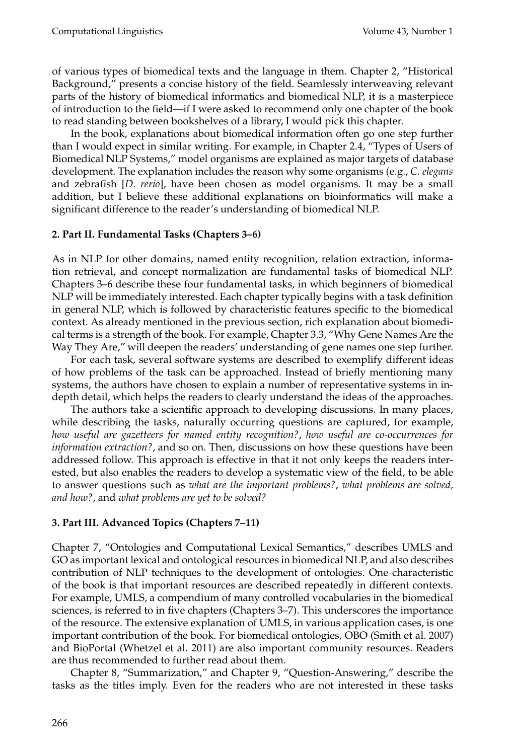of various types of biomedical texts and the language in them. Chapter 2, "Historical Background," presents a concise history of the field. Seamlessly interweaving relevant parts of the history of biomedical informatics and biomedical NLP, it is a masterpiece of introduction to the field—if I were asked to recommend only one chapter of the book to read standing between bookshelves of a library, I would pick this chapter.

In the book, explanations about biomedical information often go one step further than I would expect in similar writing. For example, in Chapter 2.4, "Types of Users of Biomedical NLP Systems," model organisms are explained as major targets of database development. The explanation includes the reason why some organisms (e.g., *C. elegans* and zebrafish [*D. rerio*], have been chosen as model organisms. It may be a small addition, but I believe these additional explanations on bioinformatics will make a significant difference to the reader's understanding of biomedical NLP.

### **2. Part II. Fundamental Tasks (Chapters 3–6)**

As in NLP for other domains, named entity recognition, relation extraction, information retrieval, and concept normalization are fundamental tasks of biomedical NLP. Chapters 3–6 describe these four fundamental tasks, in which beginners of biomedical NLP will be immediately interested. Each chapter typically begins with a task definition in general NLP, which is followed by characteristic features specific to the biomedical context. As already mentioned in the previous section, rich explanation about biomedical terms is a strength of the book. For example, Chapter 3.3, "Why Gene Names Are the Way They Are," will deepen the readers' understanding of gene names one step further.

For each task, several software systems are described to exemplify different ideas of how problems of the task can be approached. Instead of briefly mentioning many systems, the authors have chosen to explain a number of representative systems in indepth detail, which helps the readers to clearly understand the ideas of the approaches.

The authors take a scientific approach to developing discussions. In many places, while describing the tasks, naturally occurring questions are captured, for example, *how useful are gazetteers for named entity recognition?*, *how useful are co-occurrences for information extraction?*, and so on. Then, discussions on how these questions have been addressed follow. This approach is effective in that it not only keeps the readers interested, but also enables the readers to develop a systematic view of the field, to be able to answer questions such as *what are the important problems?*, *what problems are solved, and how?*, and *what problems are yet to be solved?*

### **3. Part III. Advanced Topics (Chapters 7–11)**

Chapter 7, "Ontologies and Computational Lexical Semantics," describes UMLS and GO as important lexical and ontological resources in biomedical NLP, and also describes contribution of NLP techniques to the development of ontologies. One characteristic of the book is that important resources are described repeatedly in different contexts. For example, UMLS, a compendium of many controlled vocabularies in the biomedical sciences, is referred to in five chapters (Chapters 3–7). This underscores the importance of the resource. The extensive explanation of UMLS, in various application cases, is one important contribution of the book. For biomedical ontologies, OBO (Smith et al. 2007) and BioPortal (Whetzel et al. 2011) are also important community resources. Readers are thus recommended to further read about them.

Chapter 8, "Summarization," and Chapter 9, "Question-Answering," describe the tasks as the titles imply. Even for the readers who are not interested in these tasks